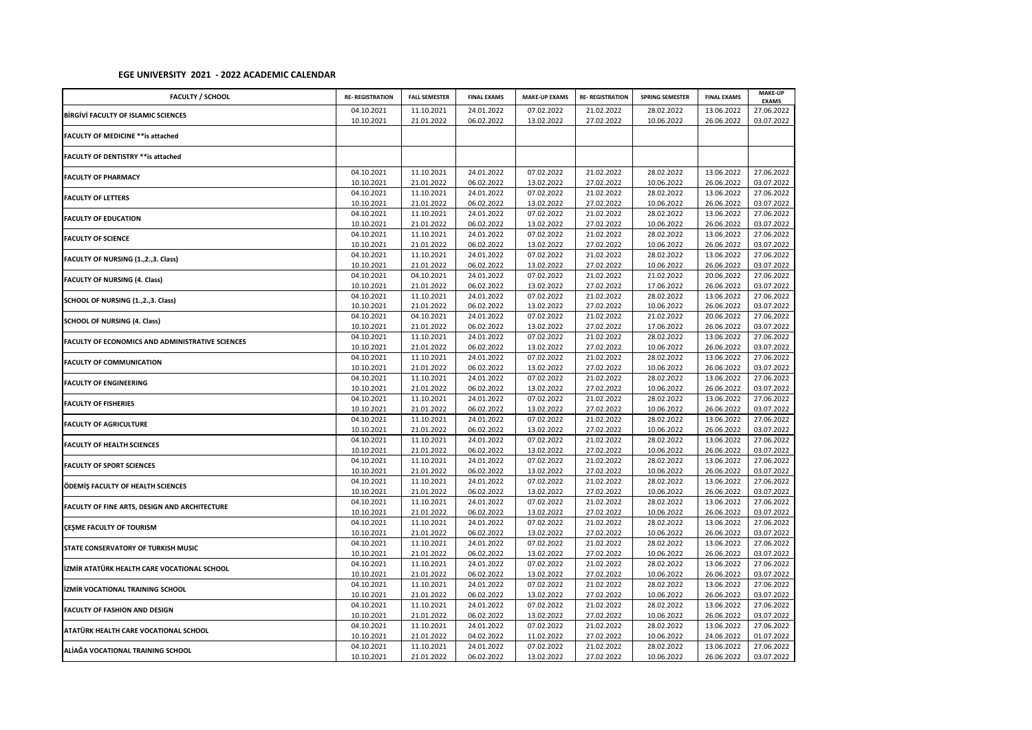## **EGE UNIVERSITY 2021 - 2022 ACADEMIC CALENDAR**

| <b>FACULTY / SCHOOL</b>                          | <b>RE- REGISTRATION</b> | <b>FALL SEMESTER</b><br><b>FINAL EXAMS</b><br><b>MAKE-UP EXAMS</b><br><b>RE- REGISTRATION</b><br><b>SPRING SEMESTER</b> |            | <b>FINAL EXAMS</b> | <b>MAKE-UP</b><br><b>EXAMS</b> |            |            |            |
|--------------------------------------------------|-------------------------|-------------------------------------------------------------------------------------------------------------------------|------------|--------------------|--------------------------------|------------|------------|------------|
| BIRGIVI FACULTY OF ISLAMIC SCIENCES              | 04.10.2021              | 11.10.2021                                                                                                              | 24.01.2022 | 07.02.2022         | 21.02.2022                     | 28.02.2022 | 13.06.2022 | 27.06.2022 |
|                                                  | 10.10.2021              | 21.01.2022                                                                                                              | 06.02.2022 | 13.02.2022         | 27.02.2022                     | 10.06.2022 | 26.06.2022 | 03.07.2022 |
| FACULTY OF MEDICINE ** is attached               |                         |                                                                                                                         |            |                    |                                |            |            |            |
| FACULTY OF DENTISTRY ** is attached              |                         |                                                                                                                         |            |                    |                                |            |            |            |
| <b>FACULTY OF PHARMACY</b>                       | 04.10.2021              | 11.10.2021                                                                                                              | 24.01.2022 | 07.02.2022         | 21.02.2022                     | 28.02.2022 | 13.06.2022 | 27.06.2022 |
|                                                  | 10.10.2021              | 21.01.2022                                                                                                              | 06.02.2022 | 13.02.2022         | 27.02.2022                     | 10.06.2022 | 26.06.2022 | 03.07.2022 |
| <b>FACULTY OF LETTERS</b>                        | 04.10.2021              | 11.10.2021                                                                                                              | 24.01.2022 | 07.02.2022         | 21.02.2022                     | 28.02.2022 | 13.06.2022 | 27.06.2022 |
|                                                  | 10.10.2021              | 21.01.2022                                                                                                              | 06.02.2022 | 13.02.2022         | 27.02.2022                     | 10.06.2022 | 26.06.2022 | 03.07.2022 |
| <b>FACULTY OF EDUCATION</b>                      | 04.10.2021              | 11.10.2021                                                                                                              | 24.01.2022 | 07.02.2022         | 21.02.2022                     | 28.02.2022 | 13.06.2022 | 27.06.2022 |
|                                                  | 10.10.2021              | 21.01.2022                                                                                                              | 06.02.2022 | 13.02.2022         | 27.02.2022                     | 10.06.2022 | 26.06.2022 | 03.07.2022 |
| <b>FACULTY OF SCIENCE</b>                        | 04.10.2021              | 11.10.2021                                                                                                              | 24.01.2022 | 07.02.2022         | 21.02.2022                     | 28.02.2022 | 13.06.2022 | 27.06.2022 |
|                                                  | 10.10.2021              | 21.01.2022                                                                                                              | 06.02.2022 | 13.02.2022         | 27.02.2022                     | 10.06.2022 | 26.06.2022 | 03.07.2022 |
| FACULTY OF NURSING (1.,2.,3. Class)              | 04.10.2021              | 11.10.2021                                                                                                              | 24.01.2022 | 07.02.2022         | 21.02.2022                     | 28.02.2022 | 13.06.2022 | 27.06.2022 |
|                                                  | 10.10.2021              | 21.01.2022                                                                                                              | 06.02.2022 | 13.02.2022         | 27.02.2022                     | 10.06.2022 | 26.06.2022 | 03.07.2022 |
| <b>FACULTY OF NURSING (4. Class)</b>             | 04.10.2021              | 04.10.2021                                                                                                              | 24.01.2022 | 07.02.2022         | 21.02.2022                     | 21.02.2022 | 20.06.2022 | 27.06.2022 |
|                                                  | 10.10.2021              | 21.01.2022                                                                                                              | 06.02.2022 | 13.02.2022         | 27.02.2022                     | 17.06.2022 | 26.06.2022 | 03.07.2022 |
| SCHOOL OF NURSING (1.,2.,3. Class)               | 04.10.2021              | 11.10.2021                                                                                                              | 24.01.2022 | 07.02.2022         | 21.02.2022                     | 28.02.2022 | 13.06.2022 | 27.06.2022 |
|                                                  | 10.10.2021              | 21.01.2022                                                                                                              | 06.02.2022 | 13.02.2022         | 27.02.2022                     | 10.06.2022 | 26.06.2022 | 03.07.2022 |
| <b>SCHOOL OF NURSING (4. Class)</b>              | 04.10.2021              | 04.10.2021                                                                                                              | 24.01.2022 | 07.02.2022         | 21.02.2022                     | 21.02.2022 | 20.06.2022 | 27.06.2022 |
|                                                  | 10.10.2021              | 21.01.2022                                                                                                              | 06.02.2022 | 13.02.2022         | 27.02.2022                     | 17.06.2022 | 26.06.2022 | 03.07.2022 |
| FACULTY OF ECONOMICS AND ADMINISTRATIVE SCIENCES | 04.10.2021              | 11.10.2021                                                                                                              | 24.01.2022 | 07.02.2022         | 21.02.2022                     | 28.02.2022 | 13.06.2022 | 27.06.2022 |
|                                                  | 10.10.2021              | 21.01.2022                                                                                                              | 06.02.2022 | 13.02.2022         | 27.02.2022                     | 10.06.2022 | 26.06.2022 | 03.07.2022 |
| <b>FACULTY OF COMMUNICATION</b>                  | 04.10.2021              | 11.10.2021                                                                                                              | 24.01.2022 | 07.02.2022         | 21.02.2022                     | 28.02.2022 | 13.06.2022 | 27.06.2022 |
|                                                  | 10.10.2021              | 21.01.2022                                                                                                              | 06.02.2022 | 13.02.2022         | 27.02.2022                     | 10.06.2022 | 26.06.2022 | 03.07.2022 |
| <b>FACULTY OF ENGINEERING</b>                    | 04.10.2021              | 11.10.2021                                                                                                              | 24.01.2022 | 07.02.2022         | 21.02.2022                     | 28.02.2022 | 13.06.2022 | 27.06.2022 |
|                                                  | 10.10.2021              | 21.01.2022                                                                                                              | 06.02.2022 | 13.02.2022         | 27.02.2022                     | 10.06.2022 | 26.06.2022 | 03.07.2022 |
| <b>FACULTY OF FISHERIES</b>                      | 04.10.2021              | 11.10.2021                                                                                                              | 24.01.2022 | 07.02.2022         | 21.02.2022                     | 28.02.2022 | 13.06.2022 | 27.06.2022 |
|                                                  | 10.10.2021              | 21.01.2022                                                                                                              | 06.02.2022 | 13.02.2022         | 27.02.2022                     | 10.06.2022 | 26.06.2022 | 03.07.2022 |
| <b>FACULTY OF AGRICULTURE</b>                    | 04.10.2021              | 11.10.2021                                                                                                              | 24.01.2022 | 07.02.2022         | 21.02.2022                     | 28.02.2022 | 13.06.2022 | 27.06.2022 |
|                                                  | 10.10.2021              | 21.01.2022                                                                                                              | 06.02.2022 | 13.02.2022         | 27.02.2022                     | 10.06.2022 | 26.06.2022 | 03.07.2022 |
| <b>FACULTY OF HEALTH SCIENCES</b>                | 04.10.2021              | 11.10.2021                                                                                                              | 24.01.2022 | 07.02.2022         | 21.02.2022                     | 28.02.2022 | 13.06.2022 | 27.06.2022 |
|                                                  | 10.10.2021              | 21.01.2022                                                                                                              | 06.02.2022 | 13.02.2022         | 27.02.2022                     | 10.06.2022 | 26.06.2022 | 03.07.2022 |
| <b>FACULTY OF SPORT SCIENCES</b>                 | 04.10.2021              | 11.10.2021                                                                                                              | 24.01.2022 | 07.02.2022         | 21.02.2022                     | 28.02.2022 | 13.06.2022 | 27.06.2022 |
|                                                  | 10.10.2021              | 21.01.2022                                                                                                              | 06.02.2022 | 13.02.2022         | 27.02.2022                     | 10.06.2022 | 26.06.2022 | 03.07.2022 |
| ÖDEMİŞ FACULTY OF HEALTH SCIENCES                | 04.10.2021              | 11.10.2021                                                                                                              | 24.01.2022 | 07.02.2022         | 21.02.2022                     | 28.02.2022 | 13.06.2022 | 27.06.2022 |
|                                                  | 10.10.2021              | 21.01.2022                                                                                                              | 06.02.2022 | 13.02.2022         | 27.02.2022                     | 10.06.2022 | 26.06.2022 | 03.07.2022 |
| FACULTY OF FINE ARTS, DESIGN AND ARCHITECTURE    | 04.10.2021              | 11.10.2021                                                                                                              | 24.01.2022 | 07.02.2022         | 21.02.2022                     | 28.02.2022 | 13.06.2022 | 27.06.2022 |
|                                                  | 10.10.2021              | 21.01.2022                                                                                                              | 06.02.2022 | 13.02.2022         | 27.02.2022                     | 10.06.2022 | 26.06.2022 | 03.07.2022 |
| <b>ÇEŞME FACULTY OF TOURISM</b>                  | 04.10.2021              | 11.10.2021                                                                                                              | 24.01.2022 | 07.02.2022         | 21.02.2022                     | 28.02.2022 | 13.06.2022 | 27.06.2022 |
|                                                  | 10.10.2021              | 21.01.2022                                                                                                              | 06.02.2022 | 13.02.2022         | 27.02.2022                     | 10.06.2022 | 26.06.2022 | 03.07.2022 |
| STATE CONSERVATORY OF TURKISH MUSIC              | 04.10.2021              | 11.10.2021                                                                                                              | 24.01.2022 | 07.02.2022         | 21.02.2022                     | 28.02.2022 | 13.06.2022 | 27.06.2022 |
|                                                  | 10.10.2021              | 21.01.2022                                                                                                              | 06.02.2022 | 13.02.2022         | 27.02.2022                     | 10.06.2022 | 26.06.2022 | 03.07.2022 |
| İZMİR ATATÜRK HEALTH CARE VOCATIONAL SCHOOL      | 04.10.2021              | 11.10.2021                                                                                                              | 24.01.2022 | 07.02.2022         | 21.02.2022                     | 28.02.2022 | 13.06.2022 | 27.06.2022 |
|                                                  | 10.10.2021              | 21.01.2022                                                                                                              | 06.02.2022 | 13.02.2022         | 27.02.2022                     | 10.06.2022 | 26.06.2022 | 03.07.2022 |
| <b>İZMİR VOCATIONAL TRAINING SCHOOL</b>          | 04.10.2021              | 11.10.2021                                                                                                              | 24.01.2022 | 07.02.2022         | 21.02.2022                     | 28.02.2022 | 13.06.2022 | 27.06.2022 |
|                                                  | 10.10.2021              | 21.01.2022                                                                                                              | 06.02.2022 | 13.02.2022         | 27.02.2022                     | 10.06.2022 | 26.06.2022 | 03.07.2022 |
| <b>FACULTY OF FASHION AND DESIGN</b>             | 04.10.2021              | 11.10.2021                                                                                                              | 24.01.2022 | 07.02.2022         | 21.02.2022                     | 28.02.2022 | 13.06.2022 | 27.06.2022 |
|                                                  | 10.10.2021              | 21.01.2022                                                                                                              | 06.02.2022 | 13.02.2022         | 27.02.2022                     | 10.06.2022 | 26.06.2022 | 03.07.2022 |
| ATATÜRK HEALTH CARE VOCATIONAL SCHOOL            | 04.10.2021              | 11.10.2021                                                                                                              | 24.01.2022 | 07.02.2022         | 21.02.2022                     | 28.02.2022 | 13.06.2022 | 27.06.2022 |
|                                                  | 10.10.2021              | 21.01.2022                                                                                                              | 04.02.2022 | 11.02.2022         | 27.02.2022                     | 10.06.2022 | 24.06.2022 | 01.07.2022 |
| ALIAĞA VOCATIONAL TRAINING SCHOOL                | 04.10.2021              | 11.10.2021                                                                                                              | 24.01.2022 | 07.02.2022         | 21.02.2022                     | 28.02.2022 | 13.06.2022 | 27.06.2022 |
|                                                  | 10.10.2021              | 21.01.2022                                                                                                              | 06.02.2022 | 13.02.2022         | 27.02.2022                     | 10.06.2022 | 26.06.2022 | 03.07.2022 |